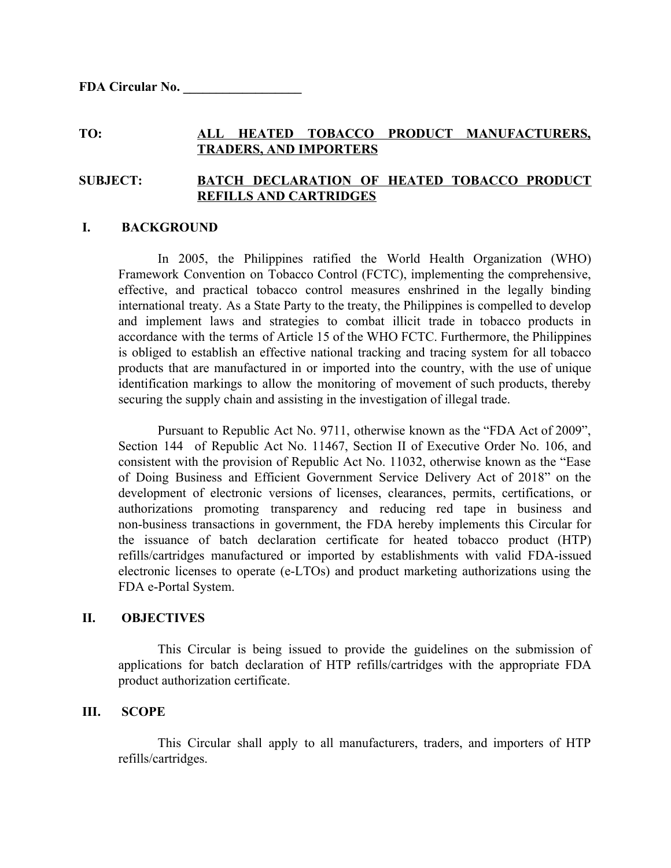#### **TO: ALL HEATED TOBACCO PRODUCT MANUFACTURERS, TRADERS, AND IMPORTERS**

# **SUBJECT: BATCH DECLARATION OF HEATED TOBACCO PRODUCT REFILLS AND CARTRIDGES**

#### **I. BACKGROUND**

In 2005, the Philippines ratified the World Health Organization (WHO) Framework Convention on Tobacco Control (FCTC), implementing the comprehensive, effective, and practical tobacco control measures enshrined in the legally binding international treaty. As a State Party to the treaty, the Philippines is compelled to develop and implement laws and strategies to combat illicit trade in tobacco products in accordance with the terms of Article 15 of the WHO FCTC. Furthermore, the Philippines is obliged to establish an effective national tracking and tracing system for all tobacco products that are manufactured in or imported into the country, with the use of unique identification markings to allow the monitoring of movement of such products, thereby securing the supply chain and assisting in the investigation of illegal trade.

Pursuant to Republic Act No. 9711, otherwise known as the "FDA Act of 2009", Section 144 of Republic Act No. 11467, Section II of Executive Order No. 106, and consistent with the provision of Republic Act No. 11032, otherwise known as the "Ease of Doing Business and Efficient Government Service Delivery Act of 2018" on the development of electronic versions of licenses, clearances, permits, certifications, or authorizations promoting transparency and reducing red tape in business and non-business transactions in government, the FDA hereby implements this Circular for the issuance of batch declaration certificate for heated tobacco product (HTP) refills/cartridges manufactured or imported by establishments with valid FDA-issued electronic licenses to operate (e-LTOs) and product marketing authorizations using the FDA e-Portal System.

#### **II. OBJECTIVES**

This Circular is being issued to provide the guidelines on the submission of applications for batch declaration of HTP refills/cartridges with the appropriate FDA product authorization certificate.

## **III. SCOPE**

This Circular shall apply to all manufacturers, traders, and importers of HTP refills/cartridges.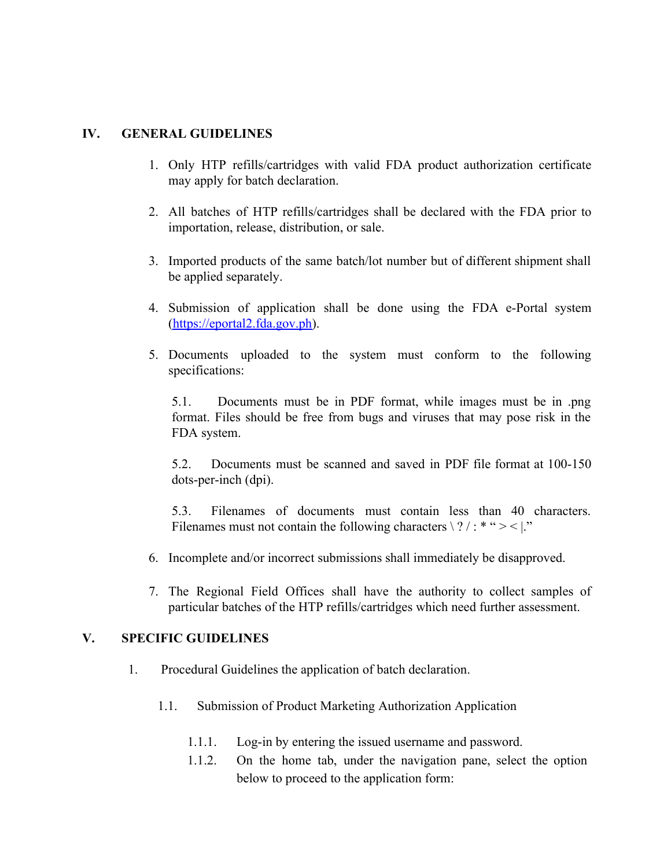# **IV. GENERAL GUIDELINES**

- 1. Only HTP refills/cartridges with valid FDA product authorization certificate may apply for batch declaration.
- 2. All batches of HTP refills/cartridges shall be declared with the FDA prior to importation, release, distribution, or sale.
- 3. Imported products of the same batch/lot number but of different shipment shall be applied separately.
- 4. Submission of application shall be done using the FDA e-Portal system ([https://eportal2.fda.gov.ph\)](https://eportal2.fda.gov.ph/).
- 5. Documents uploaded to the system must conform to the following specifications:

5.1. Documents must be in PDF format, while images must be in .png format. Files should be free from bugs and viruses that may pose risk in the FDA system.

5.2. Documents must be scanned and saved in PDF file format at 100-150 dots-per-inch (dpi).

5.3. Filenames of documents must contain less than 40 characters. Filenames must not contain the following characters  $\langle ? \rangle$  : \* " > < |."

- 6. Incomplete and/or incorrect submissions shall immediately be disapproved.
- 7. The Regional Field Offices shall have the authority to collect samples of particular batches of the HTP refills/cartridges which need further assessment.

## **V. SPECIFIC GUIDELINES**

- 1. Procedural Guidelines the application of batch declaration.
	- 1.1. Submission of Product Marketing Authorization Application
		- 1.1.1. Log-in by entering the issued username and password.
		- 1.1.2. On the home tab, under the navigation pane, select the option below to proceed to the application form: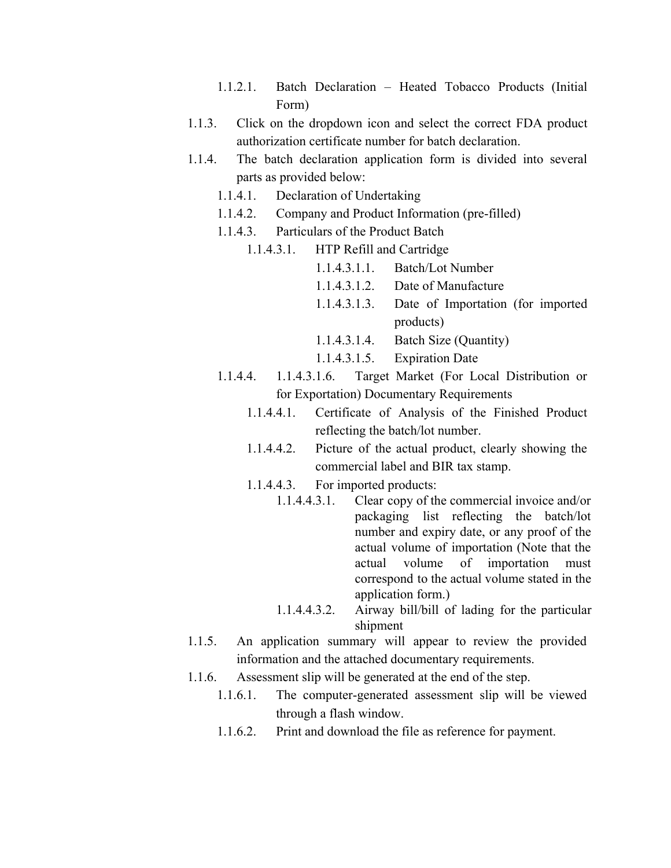- 1.1.2.1. Batch Declaration Heated Tobacco Products (Initial Form)
- 1.1.3. Click on the dropdown icon and select the correct FDA product authorization certificate number for batch declaration.
- 1.1.4. The batch declaration application form is divided into several parts as provided below:
	- 1.1.4.1. Declaration of Undertaking
	- 1.1.4.2. Company and Product Information (pre-filled)
	- 1.1.4.3. Particulars of the Product Batch
		- 1.1.4.3.1. HTP Refill and Cartridge
			- 1.1.4.3.1.1. Batch/Lot Number
			- 1.1.4.3.1.2. Date of Manufacture
			- 1.1.4.3.1.3. Date of Importation (for imported products)
			- 1.1.4.3.1.4. Batch Size (Quantity)
			- 1.1.4.3.1.5. Expiration Date
	- 1.1.4.4. 1.1.4.3.1.6. Target Market (For Local Distribution or for Exportation) Documentary Requirements
		- 1.1.4.4.1. Certificate of Analysis of the Finished Product reflecting the batch/lot number.
		- 1.1.4.4.2. Picture of the actual product, clearly showing the commercial label and BIR tax stamp.
		- 1.1.4.4.3. For imported products:
			- 1.1.4.4.3.1. Clear copy of the commercial invoice and/or packaging list reflecting the batch/lot number and expiry date, or any proof of the actual volume of importation (Note that the actual volume of importation must correspond to the actual volume stated in the application form.)
			- 1.1.4.4.3.2. Airway bill/bill of lading for the particular shipment
- 1.1.5. An application summary will appear to review the provided information and the attached documentary requirements.
- 1.1.6. Assessment slip will be generated at the end of the step.
	- 1.1.6.1. The computer-generated assessment slip will be viewed through a flash window.
	- 1.1.6.2. Print and download the file as reference for payment.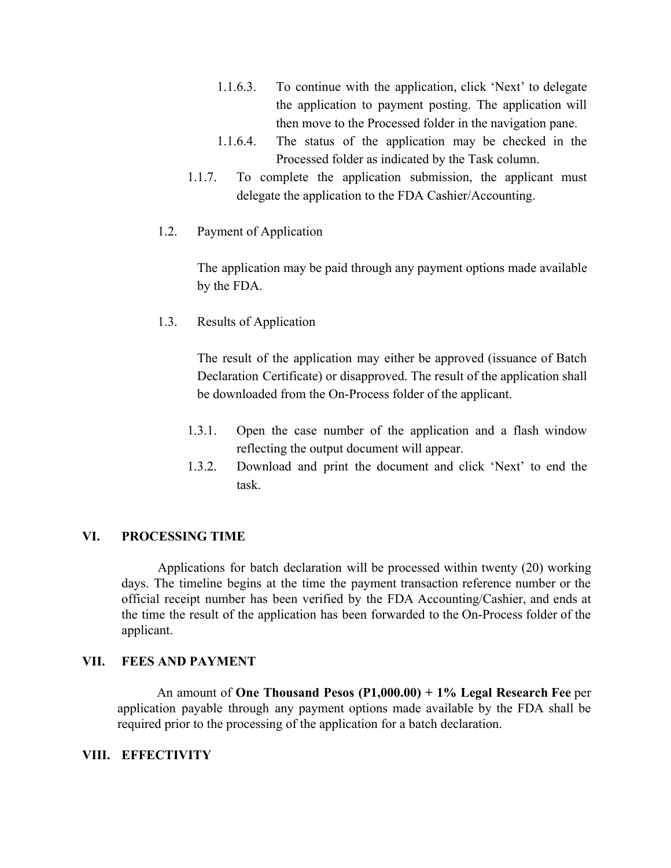- 1.1.6.3. To continue with the application, click 'Next' to delegate the application to payment posting. The application will then move to the Processed folder in the navigation pane.
- 1.1.6.4. The status of the application may be checked in the Processed folder as indicated by the Task column.
- 1.1.7. To complete the application submission, the applicant must delegate the application to the FDA Cashier/Accounting.
- 1.2. Payment of Application

The application may be paid through any payment options made available by the FDA.

1.3. Results of Application

The result of the application may either be approved (issuance of Batch Declaration Certificate) or disapproved. The result of the application shall be downloaded from the On-Process folder of the applicant.

- 1.3.1. Open the case number of the application and a flash window reflecting the output document will appear.
- 1.3.2. Download and print the document and click 'Next' to end the task.

# **VI. PROCESSING TIME**

Applications for batch declaration will be processed within twenty (20) working days. The timeline begins at the time the payment transaction reference number or the official receipt number has been verified by the FDA Accounting/Cashier, and ends at the time the result of the application has been forwarded to the On-Process folder of the applicant.

## **VII. FEES AND PAYMENT**

An amount of **One Thousand Pesos (P1,000.00) + 1% Legal Research Fee** per application payable through any payment options made available by the FDA shall be required prior to the processing of the application for a batch declaration.

## **VIII. EFFECTIVITY**